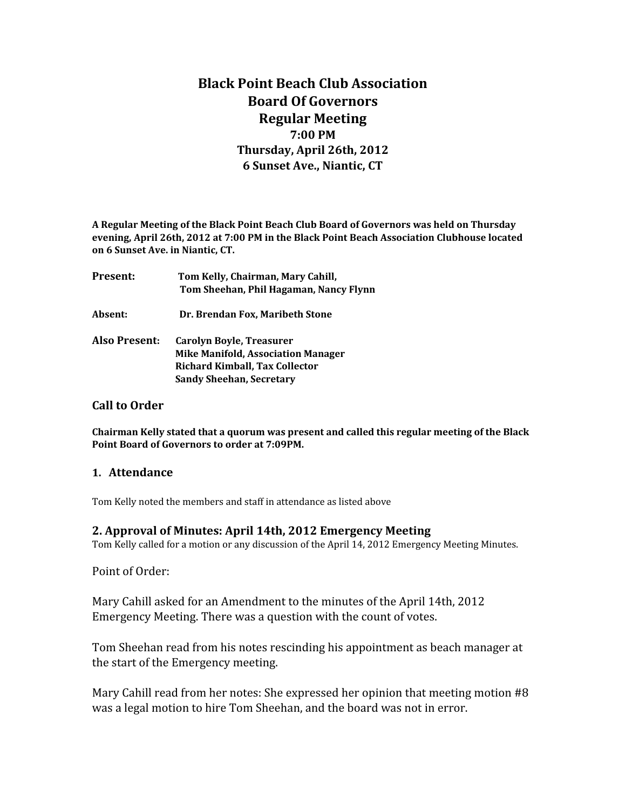# **Black Point Beach Club Association Board Of Governors Regular Meeting 7:00 PM Thursday, April 26th, 2012 6 Sunset Ave., Niantic, CT**

**A Regular Meeting of the Black Point Beach Club Board of Governors was held on Thursday evening, April 26th, 2012 at 7:00 PM in the Black Point Beach Association Clubhouse located on 6 Sunset Ave. in Niantic, CT.**

| Present:      | Tom Kelly, Chairman, Mary Cahill,<br>Tom Sheehan, Phil Hagaman, Nancy Flynn                                                                              |
|---------------|----------------------------------------------------------------------------------------------------------------------------------------------------------|
| Absent:       | Dr. Brendan Fox, Maribeth Stone                                                                                                                          |
| Also Present: | <b>Carolyn Boyle, Treasurer</b><br><b>Mike Manifold, Association Manager</b><br><b>Richard Kimball, Tax Collector</b><br><b>Sandy Sheehan, Secretary</b> |

#### **Call to Order**

**Chairman Kelly stated that a quorum was present and called this regular meeting of the Black Point Board of Governors to order at 7:09PM.** 

#### **1. Attendance**

Tom Kelly noted the members and staff in attendance as listed above

#### **2. Approval of Minutes: April 14th, 2012 Emergency Meeting**

Tom Kelly called for a motion or any discussion of the April 14, 2012 Emergency Meeting Minutes.

Point of Order:

Mary Cahill asked for an Amendment to the minutes of the April 14th, 2012 Emergency Meeting. There was a question with the count of votes.

Tom Sheehan read from his notes rescinding his appointment as beach manager at the start of the Emergency meeting.

Mary Cahill read from her notes: She expressed her opinion that meeting motion #8 was a legal motion to hire Tom Sheehan, and the board was not in error.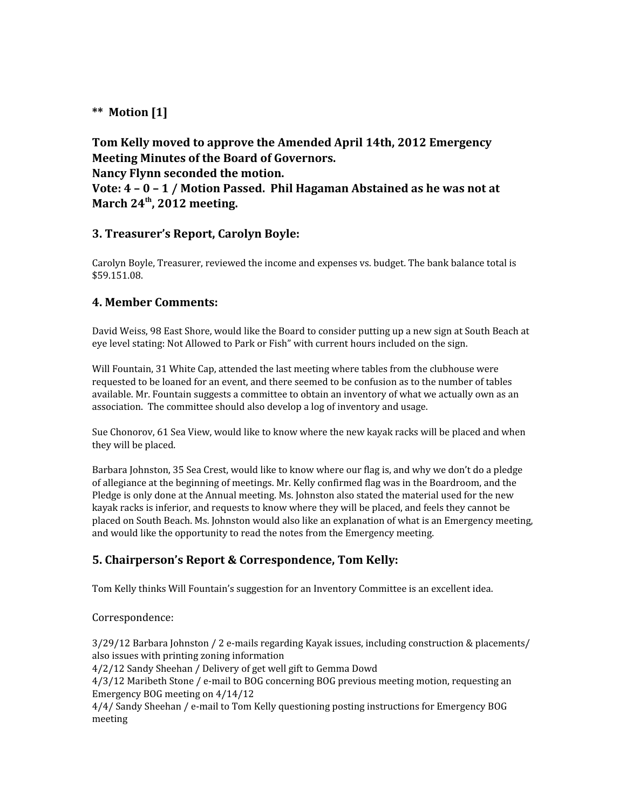## **\*\* Motion [1]**

**Tom Kelly moved to approve the Amended April 14th, 2012 Emergency Meeting Minutes of the Board of Governors. Nancy Flynn seconded the motion. Vote: 4 – 0 – 1 / Motion Passed. Phil Hagaman Abstained as he was not at March 24th, 2012 meeting.**

### **3. Treasurer's Report, Carolyn Boyle:**

Carolyn Boyle, Treasurer, reviewed the income and expenses vs. budget. The bank balance total is \$59.151.08.

### **4. Member Comments:**

David Weiss, 98 East Shore, would like the Board to consider putting up a new sign at South Beach at eye level stating: Not Allowed to Park or Fish" with current hours included on the sign.

Will Fountain, 31 White Cap, attended the last meeting where tables from the clubhouse were requested to be loaned for an event, and there seemed to be confusion as to the number of tables available. Mr. Fountain suggests a committee to obtain an inventory of what we actually own as an association. The committee should also develop a log of inventory and usage.

Sue Chonorov, 61 Sea View, would like to know where the new kayak racks will be placed and when they will be placed.

Barbara Johnston, 35 Sea Crest, would like to know where our flag is, and why we don't do a pledge of allegiance at the beginning of meetings. Mr. Kelly confirmed flag was in the Boardroom, and the Pledge is only done at the Annual meeting. Ms. Johnston also stated the material used for the new kayak racks is inferior, and requests to know where they will be placed, and feels they cannot be placed on South Beach. Ms. Johnston would also like an explanation of what is an Emergency meeting, and would like the opportunity to read the notes from the Emergency meeting.

### **5. Chairperson's Report & Correspondence, Tom Kelly:**

Tom Kelly thinks Will Fountain's suggestion for an Inventory Committee is an excellent idea.

#### Correspondence:

3/29/12 Barbara Johnston / 2 e-mails regarding Kayak issues, including construction & placements/ also issues with printing zoning information

4/2/12 Sandy Sheehan / Delivery of get well gift to Gemma Dowd

4/3/12 Maribeth Stone / e-mail to BOG concerning BOG previous meeting motion, requesting an Emergency BOG meeting on 4/14/12

4/4/ Sandy Sheehan / e-mail to Tom Kelly questioning posting instructions for Emergency BOG meeting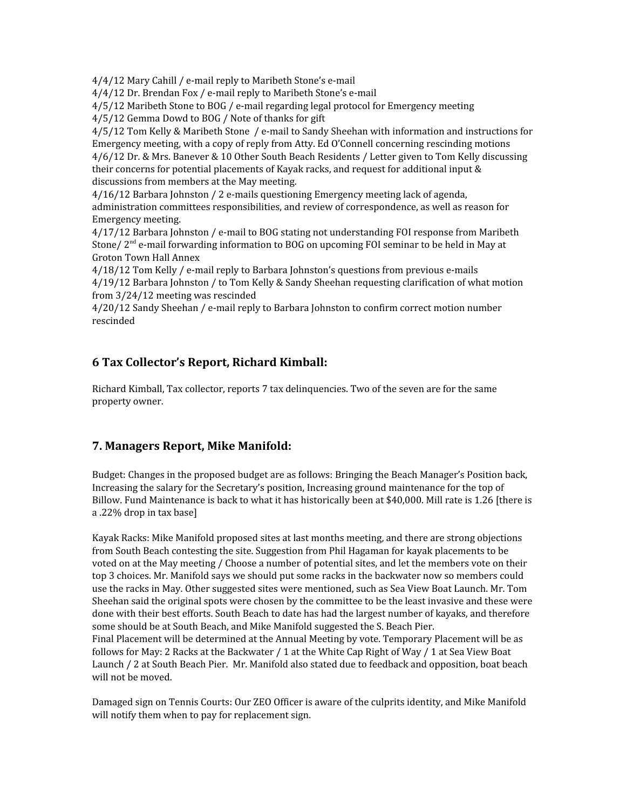4/4/12 Mary Cahill / e-mail reply to Maribeth Stone's e-mail

4/4/12 Dr. Brendan Fox / e-mail reply to Maribeth Stone's e-mail

4/5/12 Maribeth Stone to BOG / e-mail regarding legal protocol for Emergency meeting 4/5/12 Gemma Dowd to BOG / Note of thanks for gift

4/5/12 Tom Kelly & Maribeth Stone / e-mail to Sandy Sheehan with information and instructions for Emergency meeting, with a copy of reply from Atty. Ed O'Connell concerning rescinding motions 4/6/12 Dr. & Mrs. Banever & 10 Other South Beach Residents / Letter given to Tom Kelly discussing their concerns for potential placements of Kayak racks, and request for additional input & discussions from members at the May meeting.

4/16/12 Barbara Johnston / 2 e-mails questioning Emergency meeting lack of agenda, administration committees responsibilities, and review of correspondence, as well as reason for Emergency meeting.

4/17/12 Barbara Johnston / e-mail to BOG stating not understanding FOI response from Maribeth Stone/  $2<sup>nd</sup>$  e-mail forwarding information to BOG on upcoming FOI seminar to be held in May at Groton Town Hall Annex

4/18/12 Tom Kelly / e-mail reply to Barbara Johnston's questions from previous e-mails 4/19/12 Barbara Johnston / to Tom Kelly & Sandy Sheehan requesting clarification of what motion from 3/24/12 meeting was rescinded

4/20/12 Sandy Sheehan / e-mail reply to Barbara Johnston to confirm correct motion number rescinded

# **6 Tax Collector's Report, Richard Kimball:**

Richard Kimball, Tax collector, reports 7 tax delinquencies. Two of the seven are for the same property owner.

#### **7. Managers Report, Mike Manifold:**

Budget: Changes in the proposed budget are as follows: Bringing the Beach Manager's Position back, Increasing the salary for the Secretary's position, Increasing ground maintenance for the top of Billow. Fund Maintenance is back to what it has historically been at \$40,000. Mill rate is 1.26 [there is a .22% drop in tax base]

Kayak Racks: Mike Manifold proposed sites at last months meeting, and there are strong objections from South Beach contesting the site. Suggestion from Phil Hagaman for kayak placements to be voted on at the May meeting / Choose a number of potential sites, and let the members vote on their top 3 choices. Mr. Manifold says we should put some racks in the backwater now so members could use the racks in May. Other suggested sites were mentioned, such as Sea View Boat Launch. Mr. Tom Sheehan said the original spots were chosen by the committee to be the least invasive and these were done with their best efforts. South Beach to date has had the largest number of kayaks, and therefore some should be at South Beach, and Mike Manifold suggested the S. Beach Pier. Final Placement will be determined at the Annual Meeting by vote. Temporary Placement will be as follows for May: 2 Racks at the Backwater / 1 at the White Cap Right of Way / 1 at Sea View Boat Launch / 2 at South Beach Pier. Mr. Manifold also stated due to feedback and opposition, boat beach will not be moved.

Damaged sign on Tennis Courts: Our ZEO Officer is aware of the culprits identity, and Mike Manifold will notify them when to pay for replacement sign.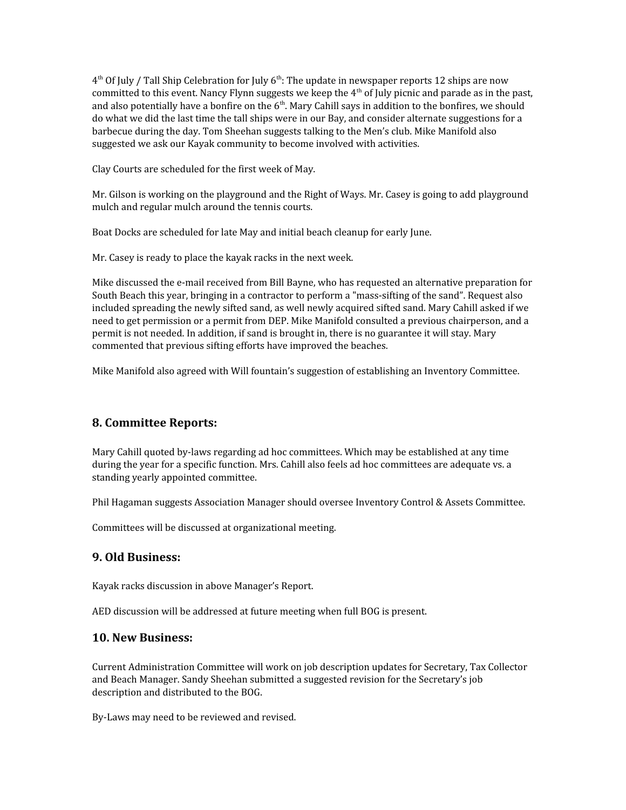$4<sup>th</sup>$  Of July / Tall Ship Celebration for July 6<sup>th</sup>: The update in newspaper reports 12 ships are now committed to this event. Nancy Flynn suggests we keep the  $4<sup>th</sup>$  of July picnic and parade as in the past, and also potentially have a bonfire on the  $6<sup>th</sup>$ . Mary Cahill says in addition to the bonfires, we should do what we did the last time the tall ships were in our Bay, and consider alternate suggestions for a barbecue during the day. Tom Sheehan suggests talking to the Men's club. Mike Manifold also suggested we ask our Kayak community to become involved with activities.

Clay Courts are scheduled for the first week of May.

Mr. Gilson is working on the playground and the Right of Ways. Mr. Casey is going to add playground mulch and regular mulch around the tennis courts.

Boat Docks are scheduled for late May and initial beach cleanup for early June.

Mr. Casey is ready to place the kayak racks in the next week.

Mike discussed the e-mail received from Bill Bayne, who has requested an alternative preparation for South Beach this year, bringing in a contractor to perform a "mass-sifting of the sand". Request also included spreading the newly sifted sand, as well newly acquired sifted sand. Mary Cahill asked if we need to get permission or a permit from DEP. Mike Manifold consulted a previous chairperson, and a permit is not needed. In addition, if sand is brought in, there is no guarantee it will stay. Mary commented that previous sifting efforts have improved the beaches.

Mike Manifold also agreed with Will fountain's suggestion of establishing an Inventory Committee.

### **8. Committee Reports:**

Mary Cahill quoted by-laws regarding ad hoc committees. Which may be established at any time during the year for a specific function. Mrs. Cahill also feels ad hoc committees are adequate vs. a standing yearly appointed committee.

Phil Hagaman suggests Association Manager should oversee Inventory Control & Assets Committee.

Committees will be discussed at organizational meeting.

#### **9. Old Business:**

Kayak racks discussion in above Manager's Report.

AED discussion will be addressed at future meeting when full BOG is present.

#### **10. New Business:**

Current Administration Committee will work on job description updates for Secretary, Tax Collector and Beach Manager. Sandy Sheehan submitted a suggested revision for the Secretary's job description and distributed to the BOG.

By-Laws may need to be reviewed and revised.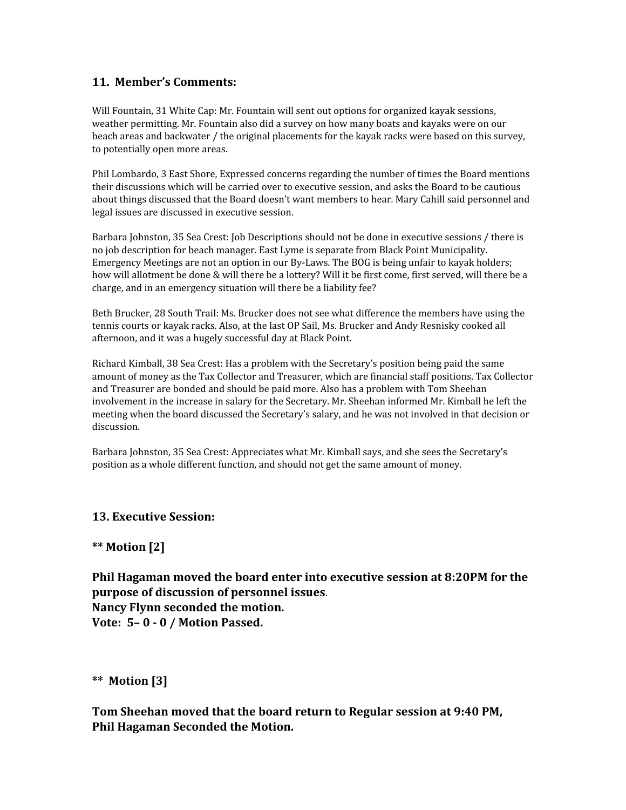### **11. Member's Comments:**

Will Fountain, 31 White Cap: Mr. Fountain will sent out options for organized kayak sessions, weather permitting. Mr. Fountain also did a survey on how many boats and kayaks were on our beach areas and backwater / the original placements for the kayak racks were based on this survey, to potentially open more areas.

Phil Lombardo, 3 East Shore, Expressed concerns regarding the number of times the Board mentions their discussions which will be carried over to executive session, and asks the Board to be cautious about things discussed that the Board doesn't want members to hear. Mary Cahill said personnel and legal issues are discussed in executive session.

Barbara Johnston, 35 Sea Crest: Job Descriptions should not be done in executive sessions / there is no job description for beach manager. East Lyme is separate from Black Point Municipality. Emergency Meetings are not an option in our By-Laws. The BOG is being unfair to kayak holders; how will allotment be done & will there be a lottery? Will it be first come, first served, will there be a charge, and in an emergency situation will there be a liability fee?

Beth Brucker, 28 South Trail: Ms. Brucker does not see what difference the members have using the tennis courts or kayak racks. Also, at the last OP Sail, Ms. Brucker and Andy Resnisky cooked all afternoon, and it was a hugely successful day at Black Point.

Richard Kimball, 38 Sea Crest: Has a problem with the Secretary's position being paid the same amount of money as the Tax Collector and Treasurer, which are financial staff positions. Tax Collector and Treasurer are bonded and should be paid more. Also has a problem with Tom Sheehan involvement in the increase in salary for the Secretary. Mr. Sheehan informed Mr. Kimball he left the meeting when the board discussed the Secretary's salary, and he was not involved in that decision or discussion.

Barbara Johnston, 35 Sea Crest: Appreciates what Mr. Kimball says, and she sees the Secretary's position as a whole different function, and should not get the same amount of money.

#### **13. Executive Session:**

**\*\* Motion [2]**

**Phil Hagaman moved the board enter into executive session at 8:20PM for the purpose of discussion of personnel issues**. **Nancy Flynn seconded the motion. Vote: 5– 0 - 0 / Motion Passed.**

**\*\* Motion [3]**

**Tom Sheehan moved that the board return to Regular session at 9:40 PM, Phil Hagaman Seconded the Motion.**